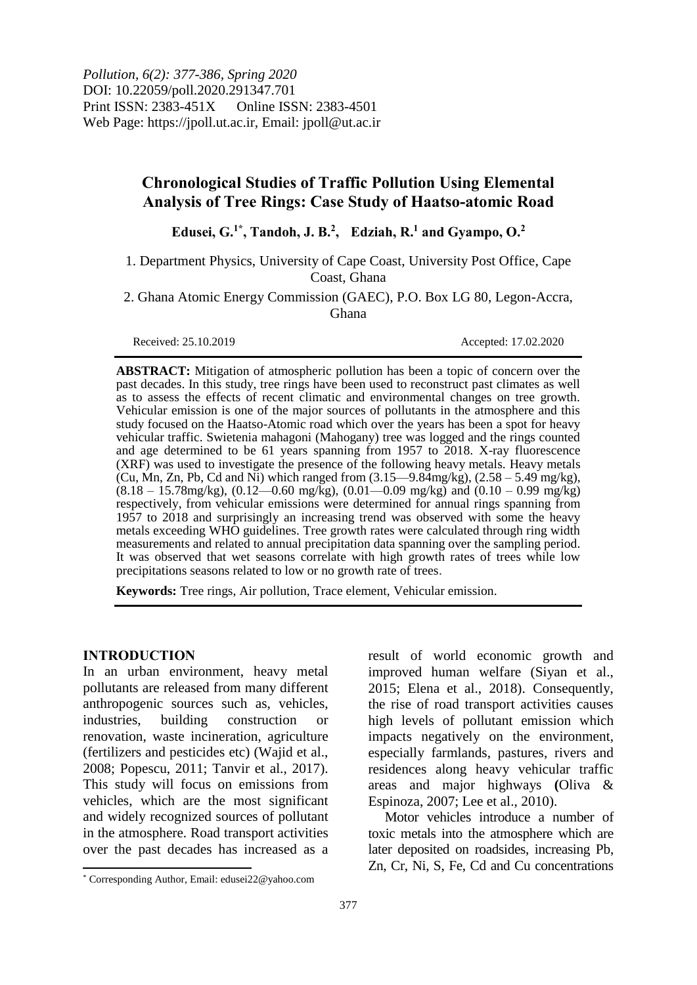*Pollution, 6(2): 377-386, Spring 2020* DOI: 10.22059/poll.2020.291347.701 Print ISSN: 2383-451X Online ISSN: 2383-4501 Web Page: https://jpoll.ut.ac.ir, Email: jpoll@ut.ac.ir

## **Chronological Studies of Traffic Pollution Using Elemental Analysis of Tree Rings: Case Study of Haatso-atomic Road**

**Edusei, G. 1\* , Tandoh, J. B. 2 , Edziah, R. <sup>1</sup> and Gyampo, O. 2**

1. Department Physics, University of Cape Coast, University Post Office, Cape Coast, Ghana

2. Ghana Atomic Energy Commission (GAEC), P.O. Box LG 80, Legon-Accra, Ghana

Received: 25.10.2019 Accepted: 17.02.2020

**ABSTRACT:** Mitigation of atmospheric pollution has been a topic of concern over the past decades. In this study, tree rings have been used to reconstruct past climates as well as to assess the effects of recent climatic and environmental changes on tree growth. Vehicular emission is one of the major sources of pollutants in the atmosphere and this study focused on the Haatso-Atomic road which over the years has been a spot for heavy vehicular traffic. Swietenia mahagoni (Mahogany) tree was logged and the rings counted and age determined to be 61 years spanning from 1957 to 2018. X-ray fluorescence (XRF) was used to investigate the presence of the following heavy metals. Heavy metals (Cu, Mn, Zn, Pb, Cd and Ni) which ranged from  $(3.15-9.84$  mg/kg),  $(2.58-5.49$  mg/kg),  $(8.18 - 15.78$ mg/kg),  $(0.12 - 0.60$  mg/kg),  $(0.01 - 0.09$  mg/kg) and  $(0.10 - 0.99$  mg/kg) respectively, from vehicular emissions were determined for annual rings spanning from 1957 to 2018 and surprisingly an increasing trend was observed with some the heavy metals exceeding WHO guidelines. Tree growth rates were calculated through ring width measurements and related to annual precipitation data spanning over the sampling period. It was observed that wet seasons correlate with high growth rates of trees while low precipitations seasons related to low or no growth rate of trees.

**Keywords:** Tree rings, Air pollution, Trace element, Vehicular emission.

#### **INTRODUCTION**

 $\overline{\phantom{a}}$ 

In an urban environment, heavy metal pollutants are released from many different anthropogenic sources such as, vehicles, industries, building construction or renovation, waste incineration, agriculture (fertilizers and pesticides etc) (Wajid et al., 2008; Popescu, 2011; Tanvir et al., 2017). This study will focus on emissions from vehicles, which are the most significant and widely recognized sources of pollutant in the atmosphere. Road transport activities over the past decades has increased as a

Motor vehicles introduce a number of toxic metals into the atmosphere which are later deposited on roadsides, increasing Pb, Zn, Cr, Ni, S, Fe, Cd and Cu concentrations

result of world economic growth and improved human welfare (Siyan et al., 2015; Elena et al., 2018). Consequently, the rise of road transport activities causes high levels of pollutant emission which impacts negatively on the environment, especially farmlands, pastures, rivers and residences along heavy vehicular traffic areas and major highways **(**Oliva & Espinoza, 2007; Lee et al., 2010).

<sup>\*</sup> Corresponding Author, Email: edusei22@yahoo.com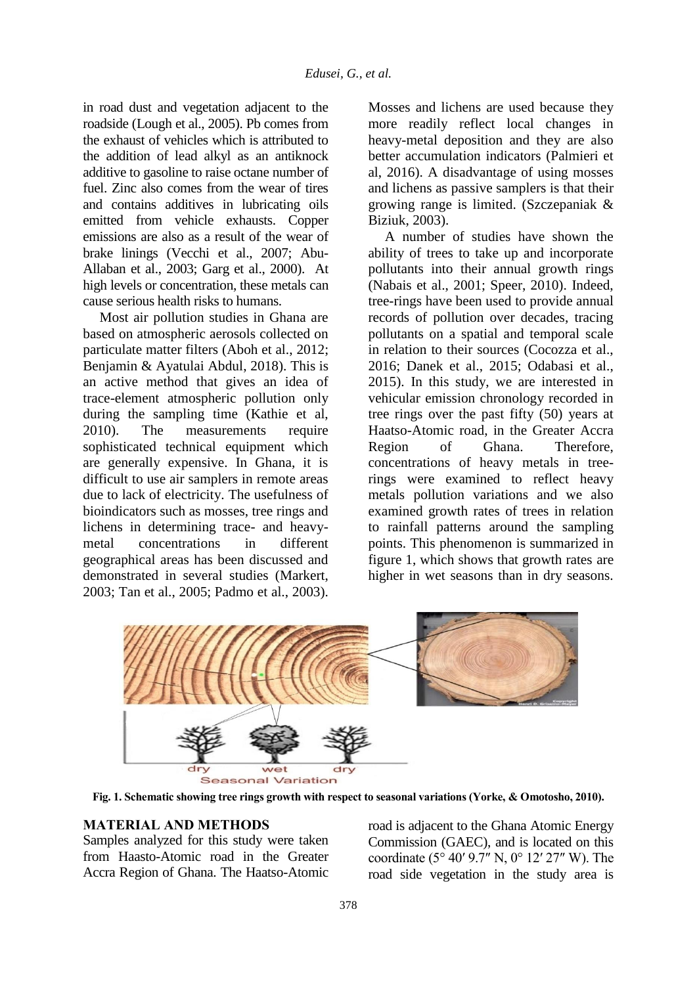in road dust and vegetation adjacent to the roadside (Lough et al., 2005). Pb comes from the exhaust of vehicles which is attributed to the addition of lead alkyl as an antiknock additive to gasoline to raise octane number of fuel. Zinc also comes from the wear of tires and contains additives in lubricating oils emitted from vehicle exhausts. Copper emissions are also as a result of the wear of brake linings (Vecchi et al., 2007; Abu-Allaban et al., 2003; Garg et al., 2000). At high levels or concentration, these metals can cause serious health risks to humans.

Most air pollution studies in Ghana are based on atmospheric aerosols collected on particulate matter filters (Aboh et al., 2012; Benjamin & Ayatulai Abdul, 2018). This is an active method that gives an idea of trace-element atmospheric pollution only during the sampling time (Kathie et al, 2010). The measurements require sophisticated technical equipment which are generally expensive. In Ghana, it is difficult to use air samplers in remote areas due to lack of electricity. The usefulness of bioindicators such as mosses, tree rings and lichens in determining trace- and heavy-<br>metal concentrations in different metal concentrations in geographical areas has been discussed and demonstrated in several studies (Markert, 2003; Tan et al., 2005; Padmo et al., 2003). Mosses and lichens are used because they more readily reflect local changes in heavy-metal deposition and they are also better accumulation indicators (Palmieri et al, 2016). A disadvantage of using mosses and lichens as passive samplers is that their growing range is limited. (Szczepaniak & Biziuk, 2003).

A number of studies have shown the ability of trees to take up and incorporate pollutants into their annual growth rings (Nabais et al., 2001; Speer, 2010). Indeed, tree-rings have been used to provide annual records of pollution over decades, tracing pollutants on a spatial and temporal scale in relation to their sources (Cocozza et al., 2016; Danek et al., 2015; Odabasi et al., 2015). In this study, we are interested in vehicular emission chronology recorded in tree rings over the past fifty (50) years at Haatso-Atomic road, in the Greater Accra Region of Ghana. Therefore, concentrations of heavy metals in treerings were examined to reflect heavy metals pollution variations and we also examined growth rates of trees in relation to rainfall patterns around the sampling points. This phenomenon is summarized in figure 1, which shows that growth rates are higher in wet seasons than in dry seasons.



**Fig. 1. Schematic showing tree rings growth with respect to seasonal variations (Yorke, & Omotosho, 2010).**

## **MATERIAL AND METHODS**

Samples analyzed for this study were taken from Haasto-Atomic road in the Greater Accra Region of Ghana. The Haatso-Atomic road is adjacent to the Ghana Atomic Energy Commission (GAEC), and is located on this coordinate (5° 40′ 9.7″ N, 0° 12′ 27″ W). The road side vegetation in the study area is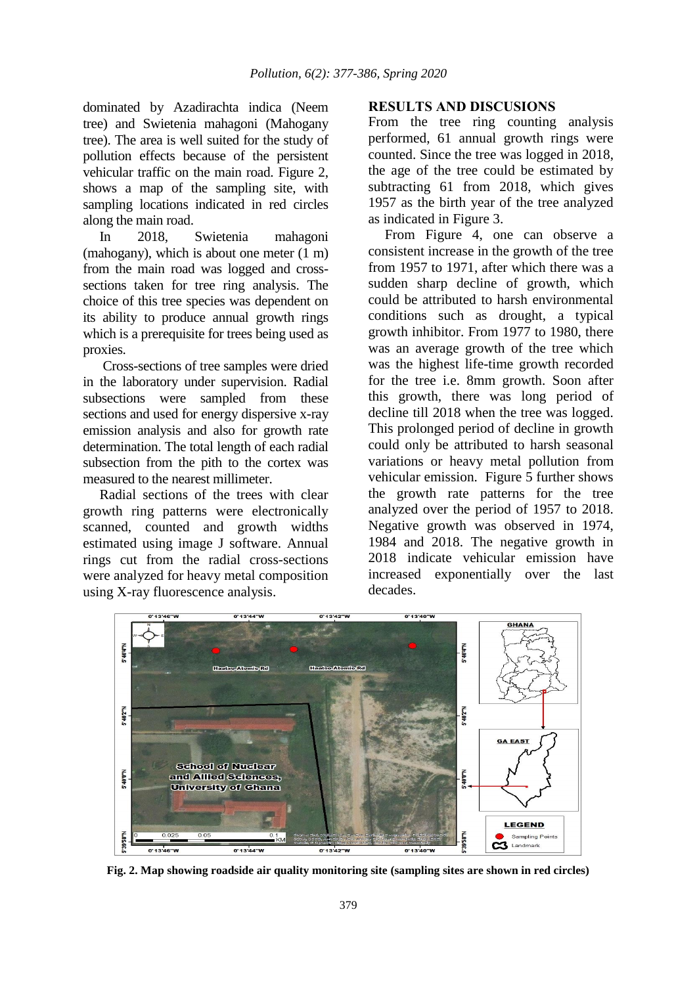dominated by Azadirachta indica (Neem tree) and Swietenia mahagoni (Mahogany tree). The area is well suited for the study of pollution effects because of the persistent vehicular traffic on the main road. Figure 2, shows a map of the sampling site, with sampling locations indicated in red circles along the main road.

In 2018, Swietenia mahagoni (mahogany), which is about one meter (1 m) from the main road was logged and crosssections taken for tree ring analysis. The choice of this tree species was dependent on its ability to produce annual growth rings which is a prerequisite for trees being used as proxies.

Cross-sections of tree samples were dried in the laboratory under supervision. Radial subsections were sampled from these sections and used for energy dispersive x-ray emission analysis and also for growth rate determination. The total length of each radial subsection from the pith to the cortex was measured to the nearest millimeter.

Radial sections of the trees with clear growth ring patterns were electronically scanned, counted and growth widths estimated using image J software. Annual rings cut from the radial cross-sections were analyzed for heavy metal composition using X-ray fluorescence analysis.

#### **RESULTS AND DISCUSIONS**

From the tree ring counting analysis performed, 61 annual growth rings were counted. Since the tree was logged in 2018, the age of the tree could be estimated by subtracting 61 from 2018, which gives 1957 as the birth year of the tree analyzed as indicated in Figure 3.

From Figure 4, one can observe a consistent increase in the growth of the tree from 1957 to 1971, after which there was a sudden sharp decline of growth, which could be attributed to harsh environmental conditions such as drought, a typical growth inhibitor. From 1977 to 1980, there was an average growth of the tree which was the highest life-time growth recorded for the tree i.e. 8mm growth. Soon after this growth, there was long period of decline till 2018 when the tree was logged. This prolonged period of decline in growth could only be attributed to harsh seasonal variations or heavy metal pollution from vehicular emission. Figure 5 further shows the growth rate patterns for the tree analyzed over the period of 1957 to 2018. Negative growth was observed in 1974, 1984 and 2018. The negative growth in 2018 indicate vehicular emission have increased exponentially over the last decades.



**Fig. 2. Map showing roadside air quality monitoring site (sampling sites are shown in red circles)**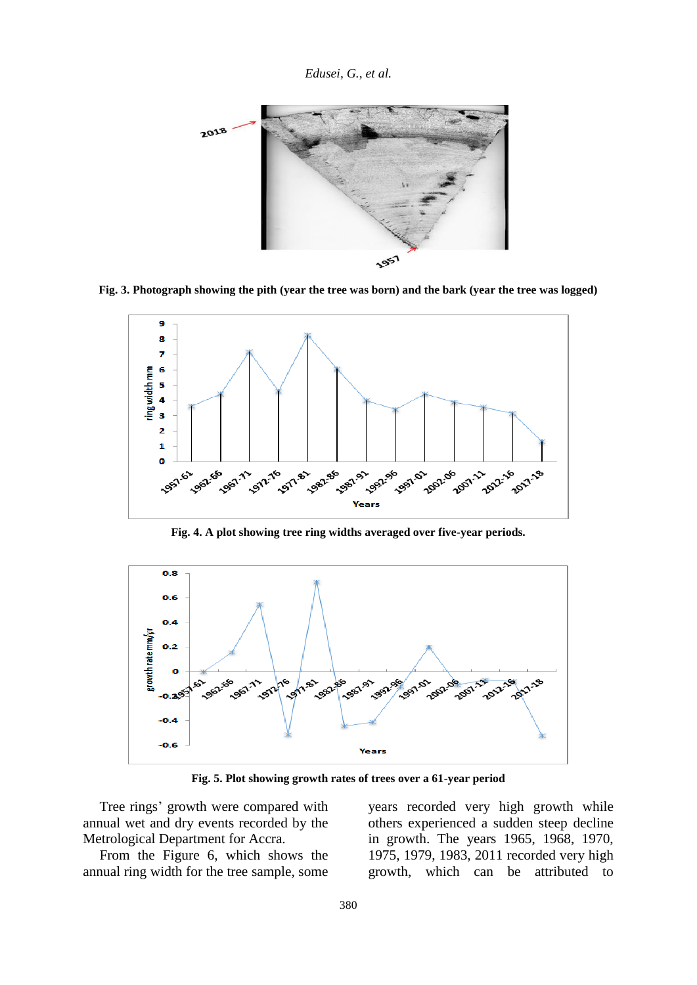*Edusei, G., et al.*



**Fig. 3. Photograph showing the pith (year the tree was born) and the bark (year the tree was logged)**



**Fig. 4. A plot showing tree ring widths averaged over five-year periods.** 



**Fig. 5. Plot showing growth rates of trees over a 61-year period**

Tree rings' growth were compared with annual wet and dry events recorded by the Metrological Department for Accra.

From the Figure 6, which shows the annual ring width for the tree sample, some

years recorded very high growth while others experienced a sudden steep decline in growth. The years 1965, 1968, 1970, 1975, 1979, 1983, 2011 recorded very high growth, which can be attributed to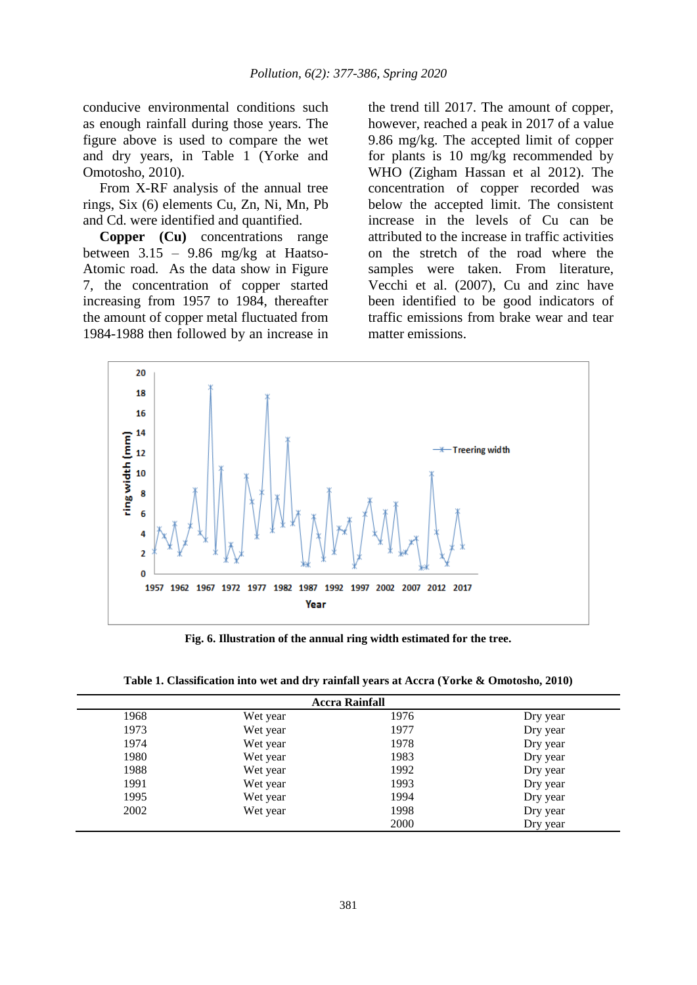conducive environmental conditions such as enough rainfall during those years. The figure above is used to compare the wet and dry years, in Table 1 (Yorke and Omotosho, 2010).

From X-RF analysis of the annual tree rings, Six (6) elements Cu, Zn, Ni, Mn, Pb and Cd. were identified and quantified.

**Copper (Cu)** concentrations range between 3.15 – 9.86 mg/kg at Haatso-Atomic road. As the data show in Figure 7, the concentration of copper started increasing from 1957 to 1984, thereafter the amount of copper metal fluctuated from 1984-1988 then followed by an increase in the trend till 2017. The amount of copper, however, reached a peak in 2017 of a value 9.86 mg/kg. The accepted limit of copper for plants is 10 mg/kg recommended by WHO (Zigham Hassan et al 2012). The concentration of copper recorded was below the accepted limit. The consistent increase in the levels of Cu can be attributed to the increase in traffic activities on the stretch of the road where the samples were taken. From literature, Vecchi et al. (2007), Cu and zinc have been identified to be good indicators of traffic emissions from brake wear and tear matter emissions.



**Fig. 6. Illustration of the annual ring width estimated for the tree.** 

**Table 1. Classification into wet and dry rainfall years at Accra (Yorke & Omotosho, 2010)** 

| <b>Accra Rainfall</b> |          |      |          |
|-----------------------|----------|------|----------|
| 1968                  | Wet year | 1976 | Dry year |
| 1973                  | Wet year | 1977 | Dry year |
| 1974                  | Wet year | 1978 | Dry year |
| 1980                  | Wet year | 1983 | Dry year |
| 1988                  | Wet year | 1992 | Dry year |
| 1991                  | Wet year | 1993 | Dry year |
| 1995                  | Wet year | 1994 | Dry year |
| 2002                  | Wet year | 1998 | Dry year |
|                       |          | 2000 | Dry year |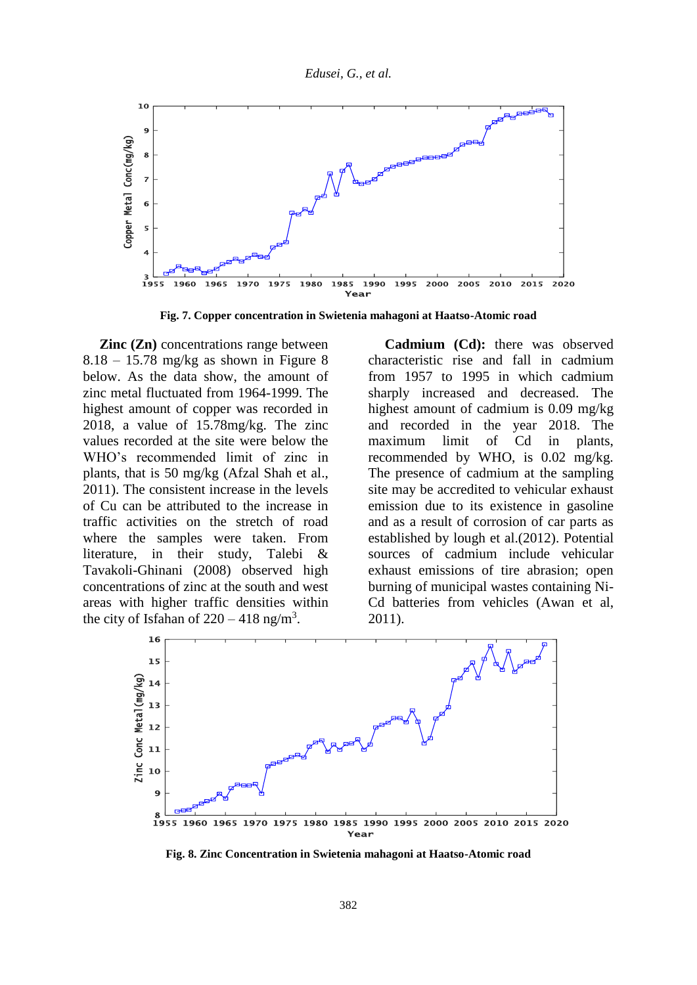

**Fig. 7. Copper concentration in Swietenia mahagoni at Haatso-Atomic road**

**Zinc** (**Zn**) concentrations range between  $8.18 - 15.78$  mg/kg as shown in Figure 8 below. As the data show, the amount of zinc metal fluctuated from 1964-1999. The highest amount of copper was recorded in 2018, a value of 15.78mg/kg. The zinc values recorded at the site were below the WHO's recommended limit of zinc in plants, that is 50 mg/kg (Afzal Shah et al., 2011). The consistent increase in the levels of Cu can be attributed to the increase in traffic activities on the stretch of road where the samples were taken. From literature, in their study, Talebi & Tavakoli-Ghinani (2008) observed high concentrations of zinc at the south and west areas with higher traffic densities within the city of Isfahan of  $220 - 418$  ng/m<sup>3</sup>.

**Cadmium (Cd):** there was observed characteristic rise and fall in cadmium from 1957 to 1995 in which cadmium sharply increased and decreased. The highest amount of cadmium is 0.09 mg/kg and recorded in the year 2018. The maximum limit of Cd in plants, recommended by WHO, is 0.02 mg/kg. The presence of cadmium at the sampling site may be accredited to vehicular exhaust emission due to its existence in gasoline and as a result of corrosion of car parts as established by lough et al.(2012). Potential sources of cadmium include vehicular exhaust emissions of tire abrasion; open burning of municipal wastes containing Ni-Cd batteries from vehicles (Awan et al, 2011).



**Fig. 8. Zinc Concentration in Swietenia mahagoni at Haatso-Atomic road**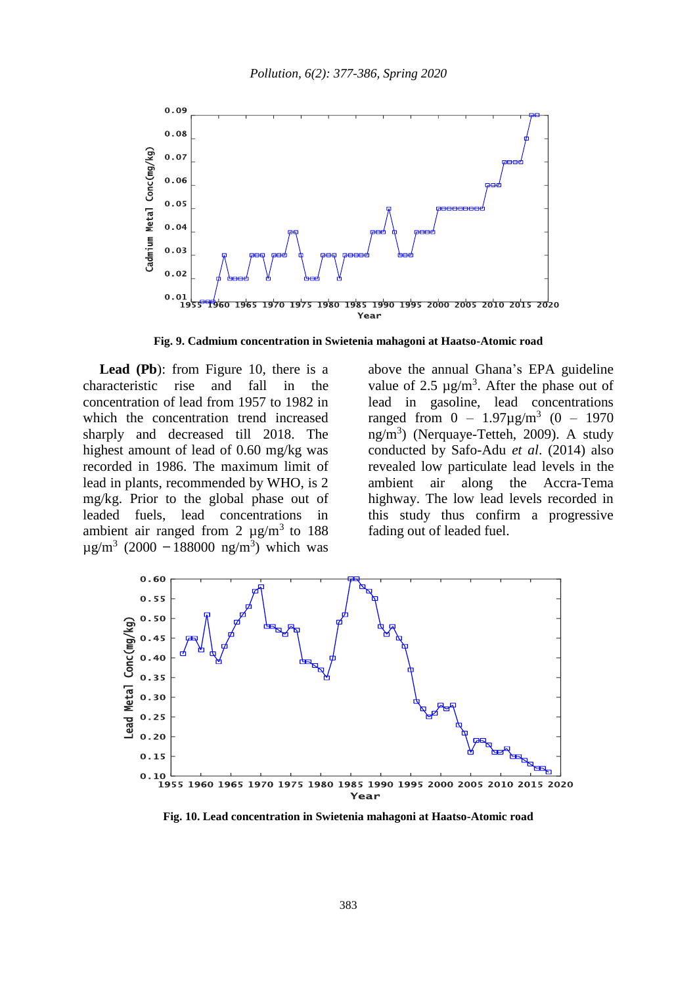

**Fig. 9. Cadmium concentration in Swietenia mahagoni at Haatso-Atomic road**

**Lead (Pb**): from Figure 10, there is a characteristic rise and fall in the concentration of lead from 1957 to 1982 in which the concentration trend increased sharply and decreased till 2018. The highest amount of lead of 0.60 mg/kg was recorded in 1986. The maximum limit of lead in plants, recommended by WHO, is 2 mg/kg. Prior to the global phase out of leaded fuels, lead concentrations in ambient air ranged from 2  $\mu$ g/m<sup>3</sup> to 188  $\mu$ g/m<sup>3</sup> (2000 – 188000 ng/m<sup>3</sup>) which was above the annual Ghana's EPA guideline value of 2.5  $\mu$ g/m<sup>3</sup>. After the phase out of lead in gasoline, lead concentrations ranged from  $0 - 1.97 \mu g/m^3$  (0 - 1970 ng/m<sup>3</sup> ) (Nerquaye-Tetteh, 2009). A study conducted by Safo-Adu *et al*. (2014) also revealed low particulate lead levels in the ambient air along the Accra-Tema highway. The low lead levels recorded in this study thus confirm a progressive fading out of leaded fuel.



**Fig. 10. Lead concentration in Swietenia mahagoni at Haatso-Atomic road**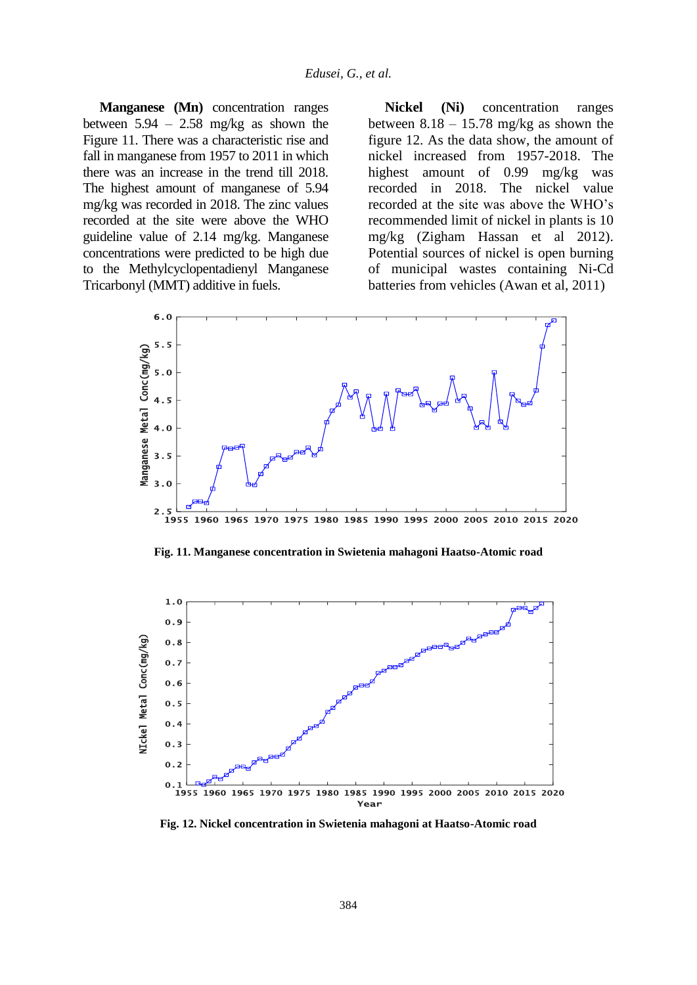**Manganese (Mn)** concentration ranges between  $5.94 - 2.58$  mg/kg as shown the Figure 11. There was a characteristic rise and fall in manganese from 1957 to 2011 in which there was an increase in the trend till 2018. The highest amount of manganese of 5.94 mg/kg was recorded in 2018. The zinc values recorded at the site were above the WHO guideline value of 2.14 mg/kg. Manganese concentrations were predicted to be high due to the Methylcyclopentadienyl Manganese Tricarbonyl (MMT) additive in fuels.

**Nickel (Ni)** concentration ranges between  $8.18 - 15.78$  mg/kg as shown the figure 12. As the data show, the amount of nickel increased from 1957-2018. The highest amount of 0.99 mg/kg was recorded in 2018. The nickel value recorded at the site was above the WHO's recommended limit of nickel in plants is 10 mg/kg (Zigham Hassan et al 2012). Potential sources of nickel is open burning of municipal wastes containing Ni-Cd batteries from vehicles (Awan et al, 2011)



**Fig. 11. Manganese concentration in Swietenia mahagoni Haatso-Atomic road**



**Fig. 12. Nickel concentration in Swietenia mahagoni at Haatso-Atomic road**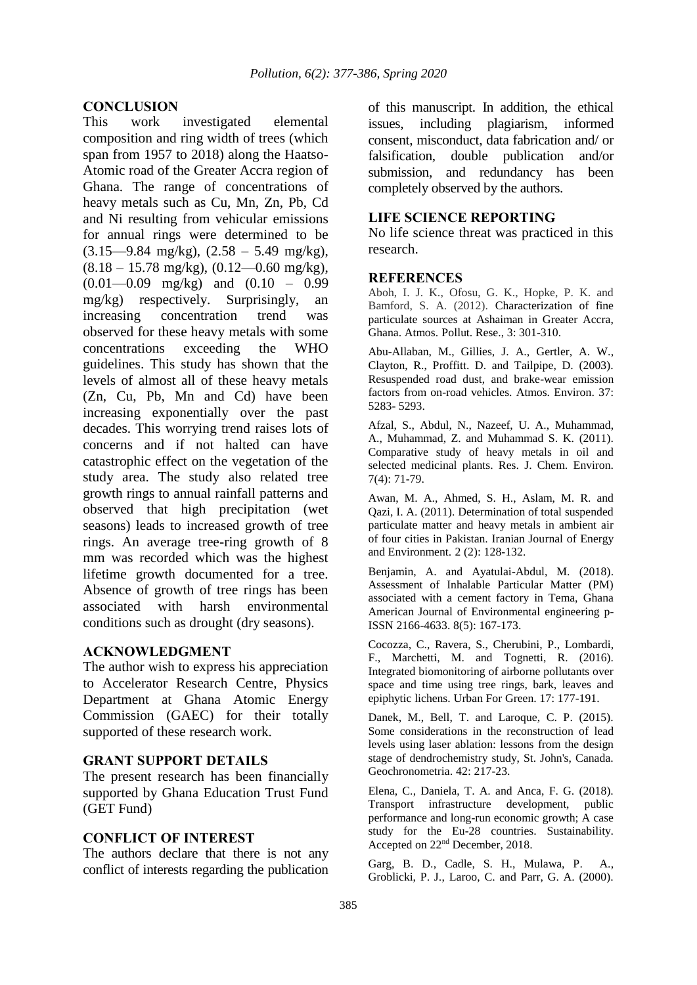# **CONCLUSION**<br>This work

investigated elemental composition and ring width of trees (which span from 1957 to 2018) along the Haatso-Atomic road of the Greater Accra region of Ghana. The range of concentrations of heavy metals such as Cu, Mn, Zn, Pb, Cd and Ni resulting from vehicular emissions for annual rings were determined to be  $(3.15 - 9.84 \text{ mg/kg})$ ,  $(2.58 - 5.49 \text{ mg/kg})$ ,  $(8.18 - 15.78 \text{ mg/kg})$ ,  $(0.12 - 0.60 \text{ mg/kg})$ , (0.01—0.09 mg/kg) and (0.10 – 0.99 mg/kg) respectively. Surprisingly, an increasing concentration trend was observed for these heavy metals with some concentrations exceeding the WHO guidelines. This study has shown that the levels of almost all of these heavy metals (Zn, Cu, Pb, Mn and Cd) have been increasing exponentially over the past decades. This worrying trend raises lots of concerns and if not halted can have catastrophic effect on the vegetation of the study area. The study also related tree growth rings to annual rainfall patterns and observed that high precipitation (wet seasons) leads to increased growth of tree rings. An average tree-ring growth of 8 mm was recorded which was the highest lifetime growth documented for a tree. Absence of growth of tree rings has been associated with harsh environmental conditions such as drought (dry seasons).

## **ACKNOWLEDGMENT**

The author wish to express his appreciation to Accelerator Research Centre, Physics Department at Ghana Atomic Energy Commission (GAEC) for their totally supported of these research work.

## **GRANT SUPPORT DETAILS**

The present research has been financially supported by Ghana Education Trust Fund (GET Fund)

#### **CONFLICT OF INTEREST**

The authors declare that there is not any conflict of interests regarding the publication of this manuscript. In addition, the ethical issues, including plagiarism, informed consent, misconduct, data fabrication and/ or falsification, double publication and/or submission, and redundancy has been completely observed by the authors.

## **LIFE SCIENCE REPORTING**

No life science threat was practiced in this research.

#### **REFERENCES**

Aboh, I. J. K., Ofosu, G. K., Hopke, P. K. and Bamford, S. A. (2012). Characterization of fine particulate sources at Ashaiman in Greater Accra, Ghana. Atmos. Pollut. Rese., 3: 301-310.

Abu-Allaban, M., Gillies, J. A., Gertler, A. W., Clayton, R., Proffitt. D. and Tailpipe, D. (2003). Resuspended road dust, and brake-wear emission factors from on-road vehicles. Atmos. Environ. 37: 5283- 5293.

Afzal, S., Abdul, N., Nazeef, U. A., Muhammad, A., Muhammad, Z. and Muhammad S. K. (2011). Comparative study of heavy metals in oil and selected medicinal plants. Res. J. Chem. Environ. 7(4): 71-79.

Awan, M. A., Ahmed, S. H., Aslam, M. R. and Qazi, I. A. (2011). Determination of total suspended particulate matter and heavy metals in ambient air of four cities in Pakistan. Iranian Journal of Energy and Environment. 2 (2): 128-132.

Benjamin, A. and Ayatulai-Abdul, M. (2018). Assessment of Inhalable Particular Matter (PM) associated with a cement factory in Tema, Ghana American Journal of Environmental engineering p-ISSN 2166-4633. 8(5): 167-173.

Cocozza, C., Ravera, S., Cherubini, P., Lombardi, F., Marchetti, M. and Tognetti, R. (2016). Integrated biomonitoring of airborne pollutants over space and time using tree rings, bark, leaves and epiphytic lichens. Urban For Green. 17: 177-191.

Danek, M., Bell, T. and Laroque, C. P. (2015). Some considerations in the reconstruction of lead levels using laser ablation: lessons from the design stage of dendrochemistry study, St. John's, Canada. Geochronometria. 42: 217-23.

Elena, C., Daniela, T. A. and Anca, F. G. (2018). Transport infrastructure development, public performance and long-run economic growth; A case study for the Eu-28 countries. Sustainability. Accepted on 22nd December, 2018.

Garg, B. D., Cadle, S. H., Mulawa, P. A., Groblicki, P. J., Laroo, C. and Parr, G. A. (2000).